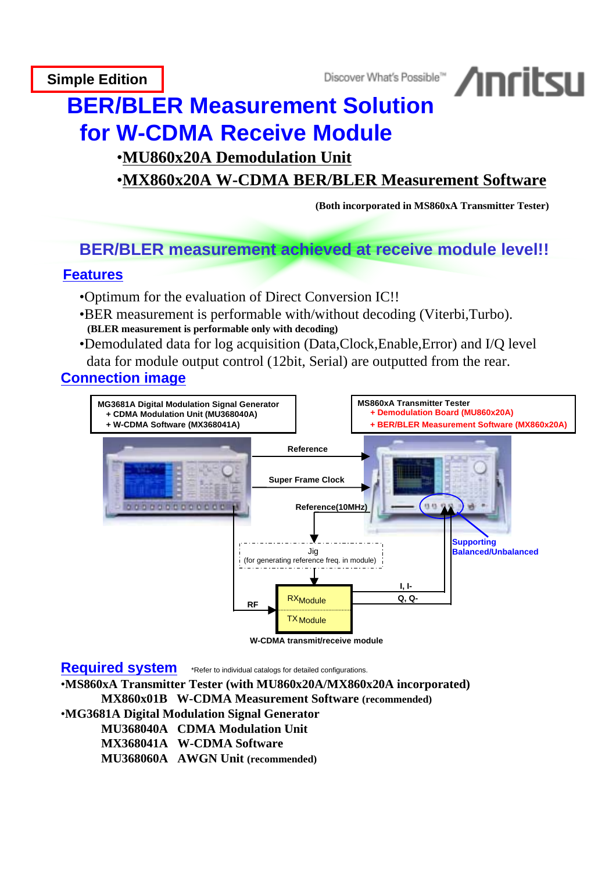**Simple Edition**



# **BER/BLER Measurement Solution for W-CDMA Receive Module**

## •**MU860x20A Demodulation Unit**

## •**MX860x20A W-CDMA BER/BLER Measurement Software**

 **(Both incorporated in MS860xA Transmitter Tester)**

# **BER/BLER measurement achieved at receive module level!!**

## **Features**

- •Optimum for the evaluation of Direct Conversion IC!!
- •BER measurement is performable with/without decoding (Viterbi,Turbo).  **(BLER measurement is performable only with decoding)**
- •Demodulated data for log acquisition (Data,Clock,Enable,Error) and I/Q level data for module output control (12bit, Serial) are outputted from the rear.

## **Connection image**



**W-CDMA transmit/receive module**

**Required system** \*Refer to individual catalogs for detailed configurations.

•**MS860xA Transmitter Tester (with MU860x20A/MX860x20A incorporated)**

 **MX860x01B W-CDMA Measurement Software (recommended)**

•**MG3681A Digital Modulation Signal Generator**

 **MU368040A CDMA Modulation Unit**

 **MX368041A W-CDMA Software**

 **MU368060A AWGN Unit (recommended)**